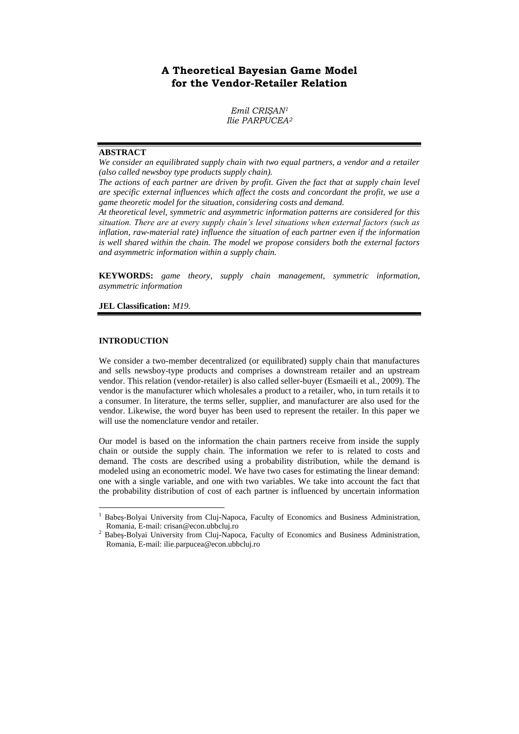# **A Theoretical Bayesian Game Model for the Vendor-Retailer Relation**

 $Emil$  *CRISAN<sup>1</sup> Ilie PARPUCEA<sup>2</sup>*

## **ABSTRACT**

*We consider an equilibrated supply chain with two equal partners, a vendor and a retailer (also called newsboy type products supply chain).*

*The actions of each partner are driven by profit. Given the fact that at supply chain level are specific external influences which affect the costs and concordant the profit, we use a game theoretic model for the situation, considering costs and demand.*

*At theoretical level, symmetric and asymmetric information patterns are considered for this situation. There are at every supply chain's level situations when external factors (such as inflation, raw-material rate) influence the situation of each partner even if the information is well shared within the chain. The model we propose considers both the external factors and asymmetric information within a supply chain.*

**KEYWORDS:** *game theory, supply chain management, symmetric information, asymmetric information*

**JEL Classification:** *M19.*

## **INTRODUCTION**

 $\overline{a}$ 

We consider a two-member decentralized (or equilibrated) supply chain that manufactures and sells newsboy-type products and comprises a downstream retailer and an upstream vendor. This relation (vendor-retailer) is also called seller-buyer (Esmaeili et al., 2009). The vendor is the manufacturer which wholesales a product to a retailer, who, in turn retails it to a consumer. In literature, the terms seller, supplier, and manufacturer are also used for the vendor. Likewise, the word buyer has been used to represent the retailer. In this paper we will use the nomenclature vendor and retailer.

Our model is based on the information the chain partners receive from inside the supply chain or outside the supply chain. The information we refer to is related to costs and demand. The costs are described using a probability distribution, while the demand is modeled using an econometric model. We have two cases for estimating the linear demand: one with a single variable, and one with two variables. We take into account the fact that the probability distribution of cost of each partner is influenced by uncertain information

<sup>1</sup> Babeş-Bolyai University from Cluj-Napoca, Faculty of Economics and Business Administration, Romania, E-mail: crisan@econ.ubbcluj.ro

<sup>2</sup> Babeş-Bolyai University from Cluj-Napoca, Faculty of Economics and Business Administration, Romania, E-mail: ilie.parpucea@econ.ubbcluj.ro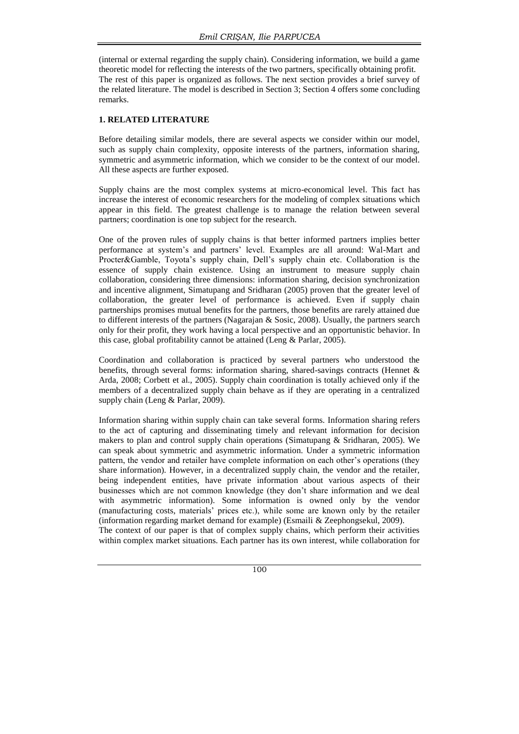(internal or external regarding the supply chain). Considering information, we build a game theoretic model for reflecting the interests of the two partners, specifically obtaining profit. The rest of this paper is organized as follows. The next section provides a brief survey of the related literature. The model is described in Section 3; Section 4 offers some concluding remarks.

## **1. RELATED LITERATURE**

Before detailing similar models, there are several aspects we consider within our model, such as supply chain complexity, opposite interests of the partners, information sharing, symmetric and asymmetric information, which we consider to be the context of our model. All these aspects are further exposed.

Supply chains are the most complex systems at micro-economical level. This fact has increase the interest of economic researchers for the modeling of complex situations which appear in this field. The greatest challenge is to manage the relation between several partners; coordination is one top subject for the research.

One of the proven rules of supply chains is that better informed partners implies better performance at system's and partners' level. Examples are all around: Wal-Mart and Procter&Gamble, Toyota's supply chain, Dell's supply chain etc. Collaboration is the essence of supply chain existence. Using an instrument to measure supply chain collaboration, considering three dimensions: information sharing, decision synchronization and incentive alignment, Simatupang and Sridharan (2005) proven that the greater level of collaboration, the greater level of performance is achieved. Even if supply chain partnerships promises mutual benefits for the partners, those benefits are rarely attained due to different interests of the partners (Nagarajan  $\&$  Sosic, 2008). Usually, the partners search only for their profit, they work having a local perspective and an opportunistic behavior. In this case, global profitability cannot be attained (Leng & Parlar, 2005).

Coordination and collaboration is practiced by several partners who understood the benefits, through several forms: information sharing, shared-savings contracts (Hennet & Arda, 2008; Corbett et al., 2005). Supply chain coordination is totally achieved only if the members of a decentralized supply chain behave as if they are operating in a centralized supply chain (Leng & Parlar, 2009).

Information sharing within supply chain can take several forms. Information sharing refers to the act of capturing and disseminating timely and relevant information for decision makers to plan and control supply chain operations (Simatupang  $\&$  Sridharan, 2005). We can speak about symmetric and asymmetric information. Under a symmetric information pattern, the vendor and retailer have complete information on each other's operations (they share information). However, in a decentralized supply chain, the vendor and the retailer, being independent entities, have private information about various aspects of their businesses which are not common knowledge (they don't share information and we deal with asymmetric information). Some information is owned only by the vendor (manufacturing costs, materials' prices etc.), while some are known only by the retailer (information regarding market demand for example) (Esmaili & Zeephongsekul, 2009).

The context of our paper is that of complex supply chains, which perform their activities within complex market situations. Each partner has its own interest, while collaboration for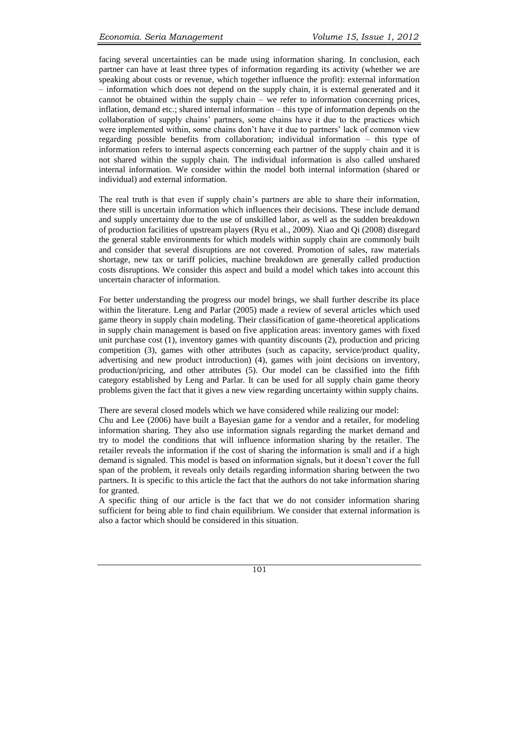facing several uncertainties can be made using information sharing. In conclusion, each partner can have at least three types of information regarding its activity (whether we are speaking about costs or revenue, which together influence the profit): external information – information which does not depend on the supply chain, it is external generated and it cannot be obtained within the supply chain – we refer to information concerning prices, inflation, demand etc.; shared internal information – this type of information depends on the collaboration of supply chains' partners, some chains have it due to the practices which were implemented within, some chains don't have it due to partners' lack of common view regarding possible benefits from collaboration; individual information – this type of information refers to internal aspects concerning each partner of the supply chain and it is not shared within the supply chain. The individual information is also called unshared internal information. We consider within the model both internal information (shared or individual) and external information.

The real truth is that even if supply chain's partners are able to share their information, there still is uncertain information which influences their decisions. These include demand and supply uncertainty due to the use of unskilled labor, as well as the sudden breakdown of production facilities of upstream players (Ryu et al., 2009). Xiao and Qi (2008) disregard the general stable environments for which models within supply chain are commonly built and consider that several disruptions are not covered. Promotion of sales, raw materials shortage, new tax or tariff policies, machine breakdown are generally called production costs disruptions. We consider this aspect and build a model which takes into account this uncertain character of information.

For better understanding the progress our model brings, we shall further describe its place within the literature. Leng and Parlar (2005) made a review of several articles which used game theory in supply chain modeling. Their classification of game-theoretical applications in supply chain management is based on five application areas: inventory games with fixed unit purchase cost (1), inventory games with quantity discounts (2), production and pricing competition (3), games with other attributes (such as capacity, service/product quality, advertising and new product introduction) (4), games with joint decisions on inventory, production/pricing, and other attributes (5). Our model can be classified into the fifth category established by Leng and Parlar. It can be used for all supply chain game theory problems given the fact that it gives a new view regarding uncertainty within supply chains.

There are several closed models which we have considered while realizing our model: Chu and Lee (2006) have built a Bayesian game for a vendor and a retailer, for modeling information sharing. They also use information signals regarding the market demand and try to model the conditions that will influence information sharing by the retailer. The retailer reveals the information if the cost of sharing the information is small and if a high demand is signaled. This model is based on information signals, but it doesn't cover the full span of the problem, it reveals only details regarding information sharing between the two partners. It is specific to this article the fact that the authors do not take information sharing for granted.

A specific thing of our article is the fact that we do not consider information sharing sufficient for being able to find chain equilibrium. We consider that external information is also a factor which should be considered in this situation.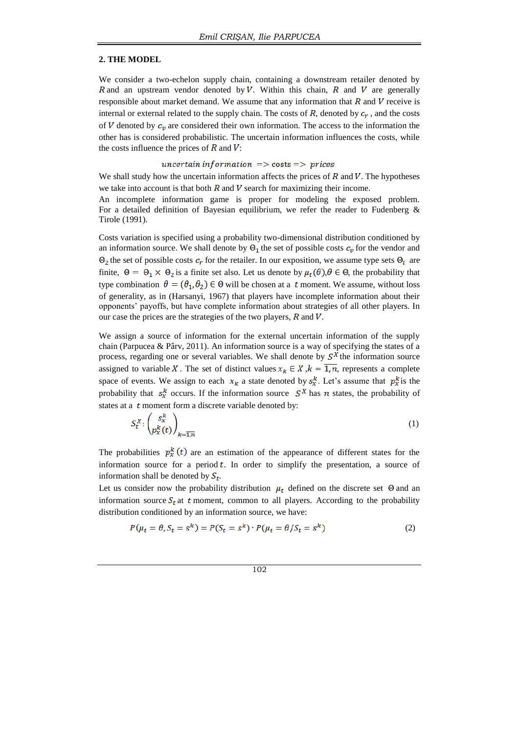#### **2. THE MODEL**

We consider a two-echelon supply chain, containing a downstream retailer denoted by R and an upstream vendor denoted by V. Within this chain, R and V are generally responsible about market demand. We assume that any information that  $R$  and  $V$  receive is internal or external related to the supply chain. The costs of  $R$ , denoted by  $c_r$ , and the costs of V denoted by  $c_v$  are considered their own information. The access to the information the other has is considered probabilistic. The uncertain information influences the costs, while the costs influence the prices of  $R$  and  $V$ :

#### uncertain information  $\Rightarrow$  costs  $\Rightarrow$  prices

We shall study how the uncertain information affects the prices of  $R$  and  $V$ . The hypotheses we take into account is that both  $R$  and  $V$  search for maximizing their income.

An incomplete information game is proper for modeling the exposed problem. For a detailed definition of Bayesian equilibrium, we refer the reader to Fudenberg & Tirole (1991).

Costs variation is specified using a probability two-dimensional distribution conditioned by an information source. We shall denote by  $\Theta_1$  the set of possible costs  $c_v$  for the vendor and  $\Theta_2$  the set of possible costs  $c_r$  for the retailer. In our exposition, we assume type sets  $\Theta_i$  are finite,  $\Theta = \Theta_1 \times \Theta_2$  is a finite set also. Let us denote by  $\mu_t(\theta), \theta \in \Theta$ , the probability that type combination  $\theta = (\theta_1, \theta_2) \in \Theta$  will be chosen at a t moment. We assume, without loss of generality, as in (Harsanyi, 1967) that players have incomplete information about their opponents' payoffs, but have complete information about strategies of all other players. In our case the prices are the strategies of the two players,  $R$  and  $V$ .

We assign a source of information for the external uncertain information of the supply chain (Parpucea & Pârv, 2011). An information source is a way of specifying the states of a process, regarding one or several variables. We shall denote by  $S^X$  the information source assigned to variable X. The set of distinct values  $x_k \in X$ ,  $k = \overline{1, n}$ , represents a complete space of events. We assign to each  $x_k$  a state denoted by  $s_x^k$ . Let's assume that  $p_x^k$  is the probability that  $s_x^k$  occurs. If the information source  $S^X$  has n states, the probability of states at a  $t$  moment form a discrete variable denoted by:

$$
S_t^X: \begin{pmatrix} S_x^k \\ p_x^k(t) \end{pmatrix}_{k=\overline{1,n}} \tag{1}
$$

The probabilities  $p_x^k(t)$  are an estimation of the appearance of different states for the information source for a period  $t$ . In order to simplify the presentation, a source of information shall be denoted by  $S_t$ .

Let us consider now the probability distribution  $\mu_t$  defined on the discrete set  $\Theta$  and an information source  $S_t$  at t moment, common to all players. According to the probability distribution conditioned by an information source, we have:

$$
P(\mu_t = \theta, S_t = s^k) = P(S_t = s^k) \cdot P(\mu_t = \theta / S_t = s^k)
$$
\n<sup>(2)</sup>

$$
^{102}
$$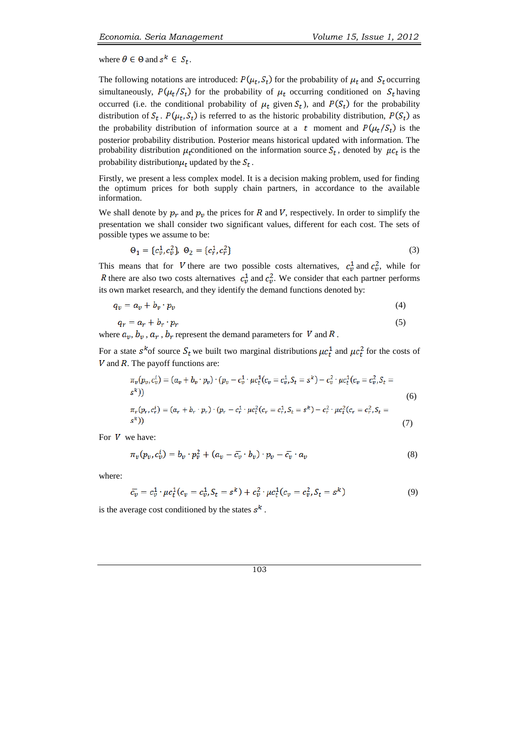where  $\theta \in \Theta$  and  $s^k \in S_t$ .

The following notations are introduced:  $P(\mu_t, S_t)$  for the probability of  $\mu_t$  and  $S_t$  occurring simultaneously,  $P(\mu_t/S_t)$  for the probability of  $\mu_t$  occurring conditioned on  $S_t$  having occurred (i.e. the conditional probability of  $\mu_t$  given  $S_t$ ), and  $P(S_t)$  for the probability distribution of  $S_t$ .  $P(\mu_t, S_t)$  is referred to as the historic probability distribution,  $P(S_t)$  as the probability distribution of information source at a t moment and  $P(\mu_t/S_t)$  is the posterior probability distribution. Posterior means historical updated with information. The probability distribution  $\mu_t$  conditioned on the information source  $S_t$ , denoted by  $\mu c_t$  is the probability distribution  $\mu_t$  updated by the  $S_t$ .

Firstly, we present a less complex model. It is a decision making problem, used for finding the optimum prices for both supply chain partners, in accordance to the available information.

We shall denote by  $p_r$  and  $p_v$  the prices for R and V, respectively. In order to simplify the presentation we shall consider two significant values, different for each cost. The sets of possible types we assume to be:

$$
\Theta_1 = \{c_v^1, c_v^2\}, \ \Theta_2 = \{c_r^1, c_r^2\} \tag{3}
$$

This means that for V there are two possible costs alternatives,  $c_v^1$  and  $c_v^2$ , while for R there are also two costs alternatives  $c_v^1$  and  $c_v^2$ . We consider that each partner performs its own market research, and they identify the demand functions denoted by:

$$
q_v = a_v + b_v \cdot p_v \tag{4}
$$

$$
q_r = a_r + b_r \cdot p_r \tag{5}
$$

where  $a_v, b_v, a_r, b_r$  represent the demand parameters for V and R.

For a state  $s^k$  of source  $S_t$  we built two marginal distributions  $\mu c_t^1$  and  $\mu c_t^2$  for the costs of  $V$  and  $R$ . The payoff functions are:

$$
\pi_v(p_v, c_v^i) = (a_v + b_v \cdot p_v) \cdot (p_v - c_v^1 \cdot \mu c_t^1(c_v = c_v^1, S_t = s^k) - c_v^2 \cdot \mu c_t^1(c_v = c_v^2, S_t = s^k))
$$
\n
$$
\pi_r(p_r, c_r^i) = (a_r + b_r \cdot p_r) \cdot (p_r - c_r^1 \cdot \mu c_t^2(c_r = c_r^1, S_t = s^k) - c_r^2 \cdot \mu c_t^2(c_r = c_r^2, S_t = s^k))
$$
\n(7)

For  $V$  we have:

$$
\pi_v(p_v, c_v^i) = b_v \cdot p_v^2 + (a_v - \overline{c_v} \cdot b_v) \cdot p_v - \overline{c_v} \cdot a_v \tag{8}
$$

where:

$$
\overline{c_v} = c_v^1 \cdot \mu c_t^1 (c_v = c_v^1, S_t = s^k) + c_v^2 \cdot \mu c_t^1 (c_v = c_v^2, S_t = s^k)
$$
\n(9)

is the average cost conditioned by the states  $s^k$ .

103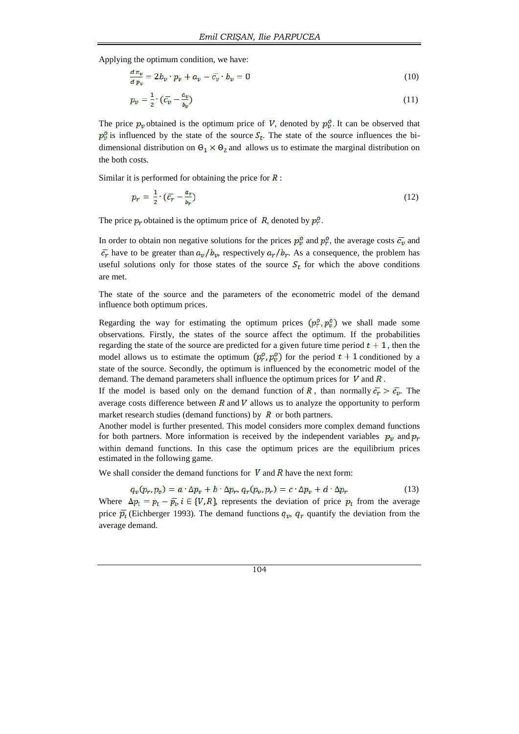Applying the optimum condition, we have:

$$
\frac{a\,\pi_v}{a\,p_v} = 2\,b_v \cdot p_v + a_v - \bar{c_v} \cdot b_v = 0\tag{10}
$$

$$
p_v = \frac{1}{2} \cdot (\bar{c_v} - \frac{a_v}{b_v}) \tag{11}
$$

The price  $p_v$  obtained is the optimum price of V, denoted by  $p_v^0$ . It can be observed that  $p_v^o$  is influenced by the state of the source  $S_t$ . The state of the source influences the bidimensional distribution on  $\Theta_1 \times \Theta_2$  and allows us to estimate the marginal distribution on the both costs.

Similar it is performed for obtaining the price for  $\overline{R}$ :

$$
p_r = \frac{1}{2} \cdot (\bar{c}_r - \frac{a_r}{b_r}) \tag{12}
$$

The price  $p_r$  obtained is the optimum price of R, denoted by  $p_r^o$ .

In order to obtain non negative solutions for the prices  $p_v^o$  and  $p_r^o$ , the average costs  $\bar{c_v}$  and  $\bar{c}_r$  have to be greater than  $a_v/b_v$ , respectively  $a_r/b_r$ . As a consequence, the problem has useful solutions only for those states of the source  $S_t$  for which the above conditions are met.

The state of the source and the parameters of the econometric model of the demand influence both optimum prices.

Regarding the way for estimating the optimum prices  $(p_r^o, p_v^o)$  we shall made some observations. Firstly, the states of the source affect the optimum. If the probabilities regarding the state of the source are predicted for a given future time period  $t + 1$ , then the model allows us to estimate the optimum  $(p_r^o, p_v^o)$  for the period  $t + 1$  conditioned by a state of the source. Secondly, the optimum is influenced by the econometric model of the demand. The demand parameters shall influence the optimum prices for  $V$  and  $R$ .

If the model is based only on the demand function of R, than normally  $\overline{c_r} > \overline{c_v}$ . The average costs difference between  $R$  and  $V$  allows us to analyze the opportunity to perform market research studies (demand functions) by  $R$  or both partners.

Another model is further presented. This model considers more complex demand functions for both partners. More information is received by the independent variables  $p_v$  and  $p_r$ within demand functions. In this case the optimum prices are the equilibrium prices estimated in the following game.

We shall consider the demand functions for  $V$  and  $R$  have the next form:

 $q_v(p_r, p_e) = a \cdot \Delta p_v + b \cdot \Delta p_r, q_r(p_v, p_r) = c \cdot \Delta p_v + d \cdot \Delta p_r$  (13) Where  $\Delta p_i = p_i - \overline{p}_i$ ,  $i \in \{V, R\}$ , represents the deviation of price  $p_i$  from the average price  $\bar{p}_i$  (Eichberger 1993). The demand functions  $q_v$ ,  $q_r$  quantify the deviation from the average demand.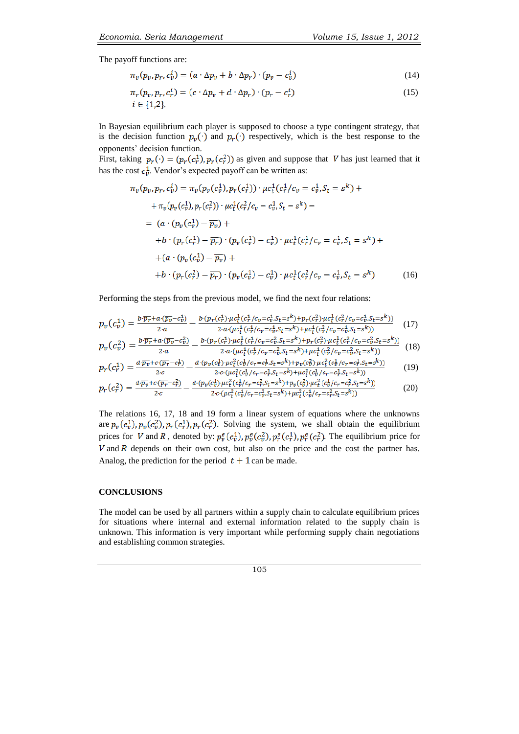The payoff functions are:

$$
\pi_v(p_v, p_r, c_v^i) = (a \cdot \Delta p_v + b \cdot \Delta p_r) \cdot (p_v - c_v^i) \tag{14}
$$

$$
\pi_r(p_v, p_r, c_r^i) = (c \cdot \Delta p_v + d \cdot \Delta p_r) \cdot (p_r - c_r^i)
$$
\n
$$
i \in \{1, 2\}.
$$
\n(15)

In Bayesian equilibrium each player is supposed to choose a type contingent strategy, that is the decision function  $p_v(\cdot)$  and  $p_r(\cdot)$  respectively, which is the best response to the opponents' decision function.

First, taking  $p_r(\cdot) = (p_r(c_r^1), p_r(c_r^2))$  as given and suppose that V has just learned that it has the cost  $c_v^1$ . Vendor's expected payoff can be written as:

$$
\pi_v(p_v, p_r, c_v^i) = \pi_v(p_v(c_v^1), p_r(c_r^1)) \cdot \mu c_t^1(c_r^1/c_v = c_v^1, S_t = s^k) +\n+ \pi_v(p_v(c_v^1), p_r(c_r^2)) \cdot \mu c_t^1(c_r^2/c_v = c_v^1, S_t = s^k) =\n= (a \cdot (p_v(c_v^1) - \overline{p_v}) +\n+ b \cdot (p_r(c_r^1) - \overline{p_r}) \cdot (p_v(c_v^1) - c_v^1) \cdot \mu c_t^1(c_r^1/c_v = c_v^1, S_t = s^k) +\n+ (a \cdot (p_v(c_v^1) - \overline{p_v}) +\n+ b \cdot (p_r(c_r^2) - \overline{p_r}) \cdot (p_v(c_v^1) - c_v^1) \cdot \mu c_t^1(c_r^2/c_v = c_v^1, S_t = s^k)
$$
\n(16)

Performing the steps from the previous model, we find the next four relations:

$$
p_v(c_v^1) = \frac{b \cdot \overline{p_r} + a \cdot (\overline{p_v} - c_v^1)}{2 \cdot a} - \frac{b \cdot (p_r(c_r^1) \cdot \mu c_t^1(c_r^1/c_v = c_v^1 S_t = s^k) + p_r(c_r^2) \cdot \mu c_t^1(c_r^2/c_v = c_v^1 S_t = s^k))}{2 \cdot a \cdot (\mu c_t^1(c_r^1/c_v = c_v^1 S_t = s^k) + \mu c_t^1(c_r^2/c_v = c_v^1 S_t = s^k))}
$$
(17)

$$
p_v(c_v^2) = \frac{b \cdot \overline{p_r} + a \cdot (\overline{p_v} - c_v^2)}{2 \cdot a} - \frac{b \cdot (p_r(c_r^1) \cdot \mu c_t^1(c_r^1/c_v = c_v^2 S_t = s^k) + p_r(c_r^2) \cdot \mu c_t^1(c_r^2/c_v = c_v^2 S_t = s^k))}{2 \cdot a \cdot (\mu c_t^1(c_r^1/c_v = c_v^2 S_t = s^k) + \mu c_t^1(c_r^2/c_v = c_v^2 S_t = s^k))}
$$
(18)

$$
p_r(c_r^1) = \frac{d \cdot \overline{p_v} + c \cdot (\overline{p_r} - c_r^1)}{2 \cdot c} - \frac{d \cdot (p_v(c_v^1) \cdot \mu c_t^2 (c_v^1 / c_r = c_r^1, S_t = s^k) + p_v(c_v^2) \cdot \mu c_t^2 (c_v^1 / c_r = c_r^1, S_t = s^k))}{2 \cdot c \cdot (\mu c_t^2 (c_v^1 / c_r = c_r^1, S_t = s^k) + \mu c_t^2 (c_v^1 / c_r = c_r^1, S_t = s^k))}
$$
(19)

$$
p_r(c_r^2) = \frac{d \cdot \overline{p_v} + c \cdot (\overline{p_r} - c_r^2)}{2 \cdot c} - \frac{d \cdot (p_v(c_v^1) \cdot \mu c_t^2 (c_v^1 / c_r - c_r^2 S_t = s^k) + p_v(c_v^2) \cdot \mu c_t^2 (c_v^1 / c_r - c_r^2 S_t = s^k))}{2 \cdot c \cdot (\mu c_t^2 (c_v^1 / c_r - c_r^2 S_t = s^k) + \mu c_t^2 (c_v^1 / c_r - c_r^2 S_t = s^k))}
$$
(20)

The relations 16, 17, 18 and 19 form a linear system of equations where the unknowns are  $p_v(c_v^1)$ ,  $p_v(c_v^2)$ ,  $p_r(c_v^2)$ ,  $p_r(c_v^2)$ . Solving the system, we shall obtain the equilibrium prices for V and R, denoted by:  $p_r^e(c_v^1), p_r^e(c_v^2), p_r^e(c_r^1), p_r^e(c_r^2)$ . The equilibrium price for  $V$  and  $R$  depends on their own cost, but also on the price and the cost the partner has. Analog, the prediction for the period  $t + 1$  can be made.

## **CONCLUSIONS**

The model can be used by all partners within a supply chain to calculate equilibrium prices for situations where internal and external information related to the supply chain is unknown. This information is very important while performing supply chain negotiations and establishing common strategies.

105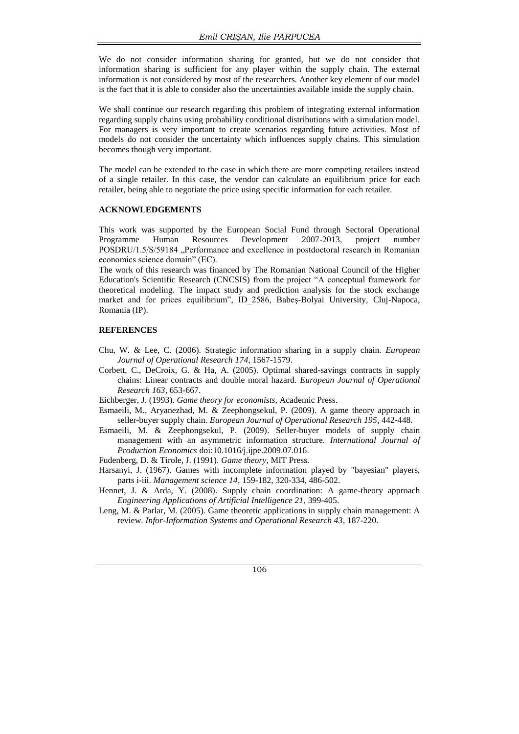We do not consider information sharing for granted, but we do not consider that information sharing is sufficient for any player within the supply chain. The external information is not considered by most of the researchers. Another key element of our model is the fact that it is able to consider also the uncertainties available inside the supply chain.

We shall continue our research regarding this problem of integrating external information regarding supply chains using probability conditional distributions with a simulation model. For managers is very important to create scenarios regarding future activities. Most of models do not consider the uncertainty which influences supply chains. This simulation becomes though very important.

The model can be extended to the case in which there are more competing retailers instead of a single retailer. In this case, the vendor can calculate an equilibrium price for each retailer, being able to negotiate the price using specific information for each retailer.

#### **ACKNOWLEDGEMENTS**

This work was supported by the European Social Fund through Sectoral Operational Programme Human Resources Development 2007-2013, project number POSDRU/1.5/S/59184 "Performance and excellence in postdoctoral research in Romanian economics science domain" (EC).

The work of this research was financed by The Romanian National Council of the Higher Education's Scientific Research (CNCSIS) from the project "A conceptual framework for theoretical modeling. The impact study and prediction analysis for the stock exchange market and for prices equilibrium", ID\_2586, Babeş-Bolyai University, Cluj-Napoca, Romania (IP).

### **REFERENCES**

- Chu, W. & Lee, C. (2006). Strategic information sharing in a supply chain. *European Journal of Operational Research 174*, 1567-1579.
- Corbett, C., DeCroix, G. & Ha, A. (2005). Optimal shared-savings contracts in supply chains: Linear contracts and double moral hazard. *European Journal of Operational Research 163*, 653-667.
- Eichberger, J. (1993). *Game theory for economists*, Academic Press.
- Esmaeili, M., Aryanezhad, M. & Zeephongsekul, P. (2009). A game theory approach in seller-buyer supply chain. *European Journal of Operational Research 195*, 442-448.
- Esmaeili, M. & Zeephongsekul, P. (2009). Seller-buyer models of supply chain management with an asymmetric information structure. *International Journal of Production Economics* doi:10.1016/j.ijpe.2009.07.016.

Fudenberg, D. & Tirole, J. (1991). *Game theory*, MIT Press.

- Harsanyi, J. (1967). Games with incomplete information played by "bayesian" players, parts i-iii. *Management science 14*, 159-182, 320-334, 486-502.
- Hennet, J. & Arda, Y. (2008). Supply chain coordination: A game-theory approach *Engineering Applications of Artificial Intelligence 21*, 399-405.
- Leng, M. & Parlar, M. (2005). Game theoretic applications in supply chain management: A review. *Infor-Information Systems and Operational Research 43*, 187-220.